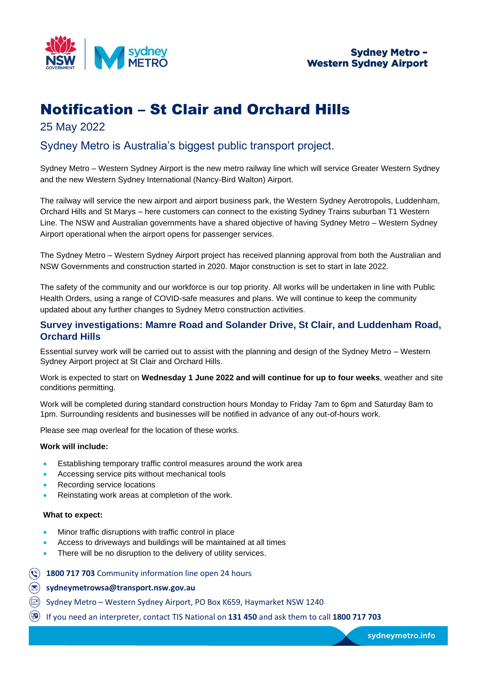

# Notification – St Clair and Orchard Hills

# 25 May 2022

# Sydney Metro is Australia's biggest public transport project.

Sydney Metro – Western Sydney Airport is the new metro railway line which will service Greater Western Sydney and the new Western Sydney International (Nancy-Bird Walton) Airport.

The railway will service the new airport and airport business park, the Western Sydney Aerotropolis, Luddenham, Orchard Hills and St Marys – here customers can connect to the existing Sydney Trains suburban T1 Western Line. The NSW and Australian governments have a shared objective of having Sydney Metro – Western Sydney Airport operational when the airport opens for passenger services.

The Sydney Metro – Western Sydney Airport project has received planning approval from both the Australian and NSW Governments and construction started in 2020. Major construction is set to start in late 2022.

The safety of the community and our workforce is our top priority. All works will be undertaken in line with Public Health Orders, using a range of COVID-safe measures and plans. We will continue to keep the community updated about any further changes to Sydney Metro construction activities.

## **Survey investigations: Mamre Road and Solander Drive, St Clair, and Luddenham Road, Orchard Hills**

Essential survey work will be carried out to assist with the planning and design of the Sydney Metro – Western Sydney Airport project at St Clair and Orchard Hills.

Work is expected to start on **Wednesday 1 June 2022 and will continue for up to four weeks**, weather and site conditions permitting.

Work will be completed during standard construction hours Monday to Friday 7am to 6pm and Saturday 8am to 1pm. Surrounding residents and businesses will be notified in advance of any out-of-hours work.

Please see map overleaf for the location of these works.

### **Work will include:**

- Establishing temporary traffic control measures around the work area
- Accessing service pits without mechanical tools
- Recording service locations
- Reinstating work areas at completion of the work.

#### **What to expect:**

- Minor traffic disruptions with traffic control in place
- Access to driveways and buildings will be maintained at all times
- There will be no disruption to the delivery of utility services.
- **1800 717 703** Community information line open 24 hours
- **sydneymetrowsa@transport.nsw.gov.au**
- Sydney Metro Western Sydney Airport, PO Box K659, Haymarket NSW 1240
- If you need an interpreter, contact TIS National on **131 450** and ask them to call **1800 717 703**